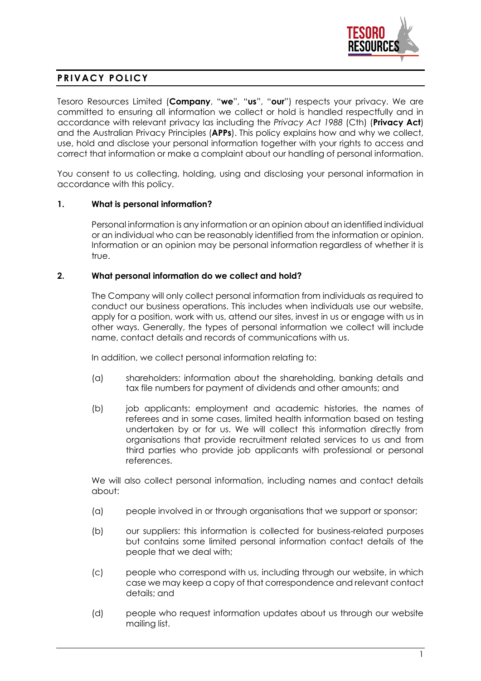

# **PRIVACY POLICY**

Tesoro Resources Limited (**Company**, "**we**", "**us**", "**our**") respects your privacy. We are committed to ensuring all information we collect or hold is handled respectfully and in accordance with relevant privacy las including the *Privacy Act 1988* (Cth) (**Privacy Act**) and the Australian Privacy Principles (**APPs**). This policy explains how and why we collect, use, hold and disclose your personal information together with your rights to access and correct that information or make a complaint about our handling of personal information.

You consent to us collecting, holding, using and disclosing your personal information in accordance with this policy.

# **1. What is personal information?**

Personal information is any information or an opinion about an identified individual or an individual who can be reasonably identified from the information or opinion. Information or an opinion may be personal information regardless of whether it is true.

# **2. What personal information do we collect and hold?**

The Company will only collect personal information from individuals as required to conduct our business operations. This includes when individuals use our website, apply for a position, work with us, attend our sites, invest in us or engage with us in other ways. Generally, the types of personal information we collect will include name, contact details and records of communications with us.

In addition, we collect personal information relating to:

- (a) shareholders: information about the shareholding, banking details and tax file numbers for payment of dividends and other amounts; and
- (b) job applicants: employment and academic histories, the names of referees and in some cases, limited health information based on testing undertaken by or for us. We will collect this information directly from organisations that provide recruitment related services to us and from third parties who provide job applicants with professional or personal references.

We will also collect personal information, including names and contact details about:

- (a) people involved in or through organisations that we support or sponsor;
- (b) our suppliers: this information is collected for business-related purposes but contains some limited personal information contact details of the people that we deal with;
- (c) people who correspond with us, including through our website, in which case we may keep a copy of that correspondence and relevant contact details; and
- (d) people who request information updates about us through our website mailing list.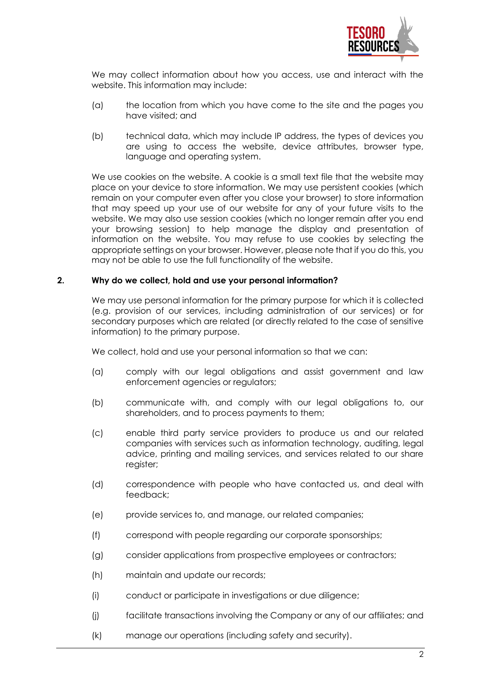

We may collect information about how you access, use and interact with the website. This information may include:

- (a) the location from which you have come to the site and the pages you have visited; and
- (b) technical data, which may include IP address, the types of devices you are using to access the website, device attributes, browser type, language and operating system.

We use cookies on the website. A cookie is a small text file that the website may place on your device to store information. We may use persistent cookies (which remain on your computer even after you close your browser) to store information that may speed up your use of our website for any of your future visits to the website. We may also use session cookies (which no longer remain after you end your browsing session) to help manage the display and presentation of information on the website. You may refuse to use cookies by selecting the appropriate settings on your browser. However, please note that if you do this, you may not be able to use the full functionality of the website.

### **2. Why do we collect, hold and use your personal information?**

We may use personal information for the primary purpose for which it is collected (e.g. provision of our services, including administration of our services) or for secondary purposes which are related (or directly related to the case of sensitive information) to the primary purpose.

We collect, hold and use your personal information so that we can:

- (a) comply with our legal obligations and assist government and law enforcement agencies or regulators;
- (b) communicate with, and comply with our legal obligations to, our shareholders, and to process payments to them;
- (c) enable third party service providers to produce us and our related companies with services such as information technology, auditing, legal advice, printing and mailing services, and services related to our share register;
- (d) correspondence with people who have contacted us, and deal with feedback;
- (e) provide services to, and manage, our related companies;
- (f) correspond with people regarding our corporate sponsorships;
- (g) consider applications from prospective employees or contractors;
- (h) maintain and update our records;
- (i) conduct or participate in investigations or due diligence;
- (j) facilitate transactions involving the Company or any of our affiliates; and
- (k) manage our operations (including safety and security).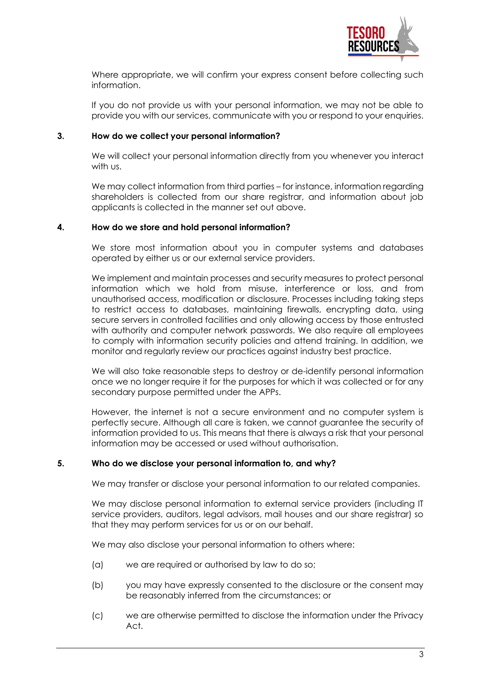

Where appropriate, we will confirm your express consent before collecting such information.

If you do not provide us with your personal information, we may not be able to provide you with our services, communicate with you or respond to your enquiries.

# **3. How do we collect your personal information?**

We will collect your personal information directly from you whenever you interact with us.

We may collect information from third parties – for instance, information regarding shareholders is collected from our share registrar, and information about job applicants is collected in the manner set out above.

### **4. How do we store and hold personal information?**

We store most information about you in computer systems and databases operated by either us or our external service providers.

We implement and maintain processes and security measures to protect personal information which we hold from misuse, interference or loss, and from unauthorised access, modification or disclosure. Processes including taking steps to restrict access to databases, maintaining firewalls, encrypting data, using secure servers in controlled facilities and only allowing access by those entrusted with authority and computer network passwords. We also require all employees to comply with information security policies and attend training. In addition, we monitor and regularly review our practices against industry best practice.

We will also take reasonable steps to destroy or de-identify personal information once we no longer require it for the purposes for which it was collected or for any secondary purpose permitted under the APPs.

However, the internet is not a secure environment and no computer system is perfectly secure. Although all care is taken, we cannot guarantee the security of information provided to us. This means that there is always a risk that your personal information may be accessed or used without authorisation.

#### **5. Who do we disclose your personal information to, and why?**

We may transfer or disclose your personal information to our related companies.

We may disclose personal information to external service providers (including IT service providers, auditors, legal advisors, mail houses and our share registrar) so that they may perform services for us or on our behalf.

We may also disclose your personal information to others where:

- (a) we are required or authorised by law to do so;
- (b) you may have expressly consented to the disclosure or the consent may be reasonably inferred from the circumstances; or
- (c) we are otherwise permitted to disclose the information under the Privacy Act.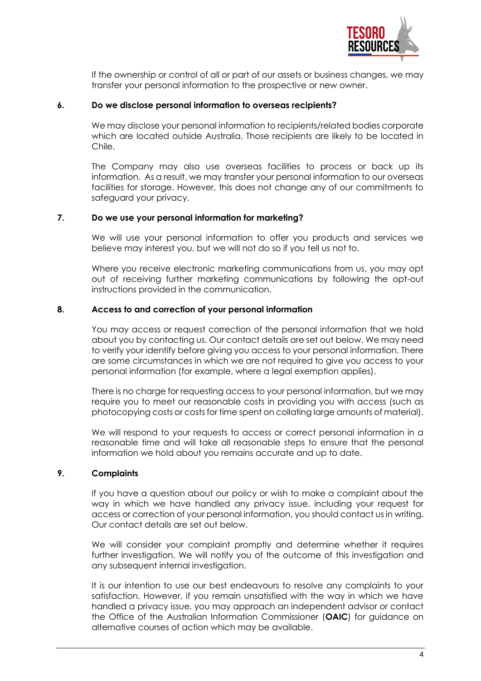

If the ownership or control of all or part of our assets or business changes, we may transfer your personal information to the prospective or new owner.

# **6. Do we disclose personal information to overseas recipients?**

We may disclose your personal information to recipients/related bodies corporate which are located outside Australia. Those recipients are likely to be located in Chile.

The Company may also use overseas facilities to process or back up its information. As a result, we may transfer your personal information to our overseas facilities for storage. However, this does not change any of our commitments to safeguard your privacy.

# **7. Do we use your personal information for marketing?**

We will use your personal information to offer you products and services we believe may interest you, but we will not do so if you tell us not to.

Where you receive electronic marketing communications from us, you may opt out of receiving further marketing communications by following the opt-out instructions provided in the communication.

### **8. Access to and correction of your personal information**

You may access or request correction of the personal information that we hold about you by contacting us. Our contact details are set out below. We may need to verify your identify before giving you access to your personal information. There are some circumstances in which we are not required to give you access to your personal information (for example, where a legal exemption applies).

There is no charge for requesting access to your personal information, but we may require you to meet our reasonable costs in providing you with access (such as photocopying costs or costs for time spent on collating large amounts of material).

We will respond to your requests to access or correct personal information in a reasonable time and will take all reasonable steps to ensure that the personal information we hold about you remains accurate and up to date.

### **9. Complaints**

If you have a question about our policy or wish to make a complaint about the way in which we have handled any privacy issue, including your request for access or correction of your personal information, you should contact us in writing. Our contact details are set out below.

We will consider your complaint promptly and determine whether it requires further investigation. We will notify you of the outcome of this investigation and any subsequent internal investigation.

It is our intention to use our best endeavours to resolve any complaints to your satisfaction. However, if you remain unsatisfied with the way in which we have handled a privacy issue, you may approach an independent advisor or contact the Office of the Australian Information Commissioner (**OAIC**) for guidance on alternative courses of action which may be available.